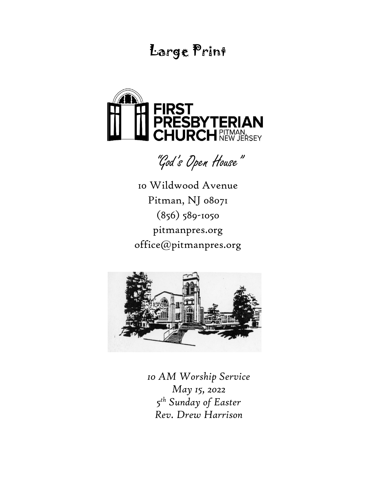# Large Print



"God's Open House"

10 Wildwood Avenue Pitman, NJ 08071 (856) 589-1050 pitmanpres.org office@pitmanpres.org



*10 AM Worship Service May 15, 2022 5 th Sunday of Easter Rev. Drew Harrison*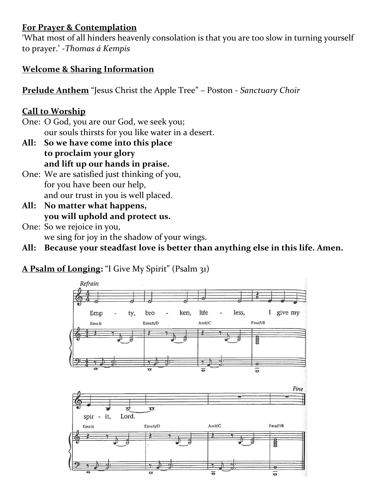## **For Prayer & Contemplation**

'What most of all hinders heavenly consolation is that you are too slow in turning yourself to prayer.' -*Thomas á Kempis*

### **Welcome & Sharing Information**

**Prelude Anthem** "Jesus Christ the Apple Tree" – Poston - *Sanctuary Choir*

### **Call to Worship**

One: O God, you are our God, we seek you; our souls thirsts for you like water in a desert.

- **All: So we have come into this place to proclaim your glory and lift up our hands in praise.**
- One: We are satisfied just thinking of you, for you have been our help, and our trust in you is well placed.
- **All: No matter what happens, you will uphold and protect us.**
- One: So we rejoice in you, we sing for joy in the shadow of your wings.
- **All: Because your steadfast love is better than anything else in this life. Amen.**

**A Psalm of Longing:** "I Give My Spirit" (Psalm 31)

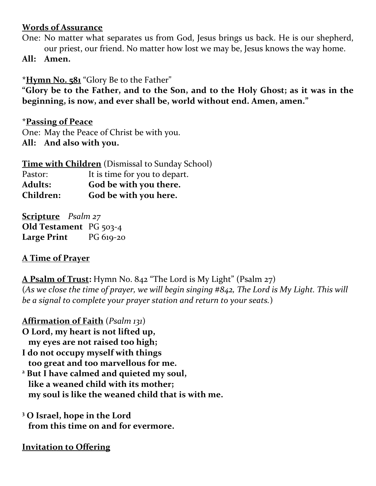#### **Words of Assurance**

- One: No matter what separates us from God, Jesus brings us back. He is our shepherd, our priest, our friend. No matter how lost we may be, Jesus knows the way home.
- **All: Amen.**

**\*Hymn No. 581** "Glory Be to the Father"

**"Glory be to the Father, and to the Son, and to the Holy Ghost; as it was in the beginning, is now, and ever shall be, world without end. Amen, amen."**

**\*Passing of Peace** One: May the Peace of Christ be with you. **All: And also with you.** 

**Time with Children** (Dismissal to Sunday School) Pastor: It is time for you to depart. **Adults: God be with you there. Children: God be with you here.**

**Scripture** *Psalm 27* **Old Testament** PG 503-4 **Large Print** PG 619-20

#### **A Time of Prayer**

**A Psalm of Trust:** Hymn No. 842 "The Lord is My Light" (Psalm 27) (*As we close the time of prayer, we will begin singing #842, The Lord is My Light. This will be a signal to complete your prayer station and return to your seats.*)

**Affirmation of Faith** (*Psalm 131*)

- **O Lord, my heart is not lifted up, my eyes are not raised too high;**
- **I do not occupy myself with things too great and too marvellous for me.**
- **<sup>2</sup> But I have calmed and quieted my soul, like a weaned child with its mother; my soul is like the weaned child that is with me.**

**<sup>3</sup> O Israel, hope in the Lord from this time on and for evermore.** 

**Invitation to Offering**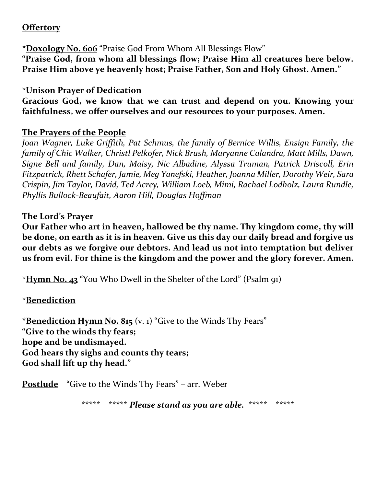### **Offertory**

**\*Doxology No. 606** "Praise God From Whom All Blessings Flow" **"Praise God, from whom all blessings flow; Praise Him all creatures here below. Praise Him above ye heavenly host; Praise Father, Son and Holy Ghost. Amen."**

#### \***Unison Prayer of Dedication**

**Gracious God, we know that we can trust and depend on you. Knowing your faithfulness, we offer ourselves and our resources to your purposes. Amen.** 

#### **The Prayers of the People**

*Joan Wagner, Luke Griffith, Pat Schmus, the family of Bernice Willis, Ensign Family, the family of Chic Walker, Christl Pelkofer, Nick Brush, Maryanne Calandra, Matt Mills, Dawn, Signe Bell and family, Dan, Maisy, Nic Albadine, Alyssa Truman, Patrick Driscoll, Erin Fitzpatrick, Rhett Schafer, Jamie, Meg Yanefski, Heather, Joanna Miller, Dorothy Weir, Sara Crispin, Jim Taylor, David, Ted Acrey, William Loeb, Mimi, Rachael Lodholz, Laura Rundle, Phyllis Bullock-Beaufait, Aaron Hill, Douglas Hoffman*

#### **The Lord's Prayer**

**Our Father who art in heaven, hallowed be thy name. Thy kingdom come, thy will be done, on earth as it is in heaven. Give us this day our daily bread and forgive us our debts as we forgive our debtors. And lead us not into temptation but deliver us from evil. For thine is the kingdom and the power and the glory forever. Amen.**

**\*Hymn No. 43** "You Who Dwell in the Shelter of the Lord" (Psalm 91)

## **\*Benediction**

**\*Benediction Hymn No. 815** (v. 1) "Give to the Winds Thy Fears" **"Give to the winds thy fears; hope and be undismayed. God hears thy sighs and counts thy tears; God shall lift up thy head."**

**Postlude** "Give to the Winds Thy Fears" – arr. Weber

**\*\*\*\*\* \*\*\*\*\*** *Please stand as you are able.* **\*\*\*\*\* \*\*\*\*\***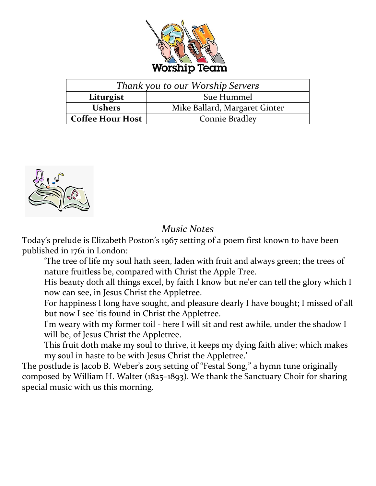

| Thank you to our Worship Servers |                               |  |
|----------------------------------|-------------------------------|--|
| Liturgist                        | Sue Hummel                    |  |
| <b>Ushers</b>                    | Mike Ballard, Margaret Ginter |  |
| <b>Coffee Hour Host</b>          | <b>Connie Bradley</b>         |  |



## *Music Notes*

Today's prelude is Elizabeth Poston's 1967 setting of a poem first known to have been published in 1761 in London:

'The tree of life my soul hath seen, laden with fruit and always green; the trees of nature fruitless be, compared with Christ the Apple Tree.

His beauty doth all things excel, by faith I know but ne'er can tell the glory which I now can see, in Jesus Christ the Appletree.

For happiness I long have sought, and pleasure dearly I have bought; I missed of all but now I see 'tis found in Christ the Appletree.

I'm weary with my former toil - here I will sit and rest awhile, under the shadow I will be, of Jesus Christ the Appletree.

This fruit doth make my soul to thrive, it keeps my dying faith alive; which makes my soul in haste to be with Jesus Christ the Appletree.'

The postlude is Jacob B. Weber's 2015 setting of "Festal Song," a hymn tune originally composed by William H. Walter (1825–1893). We thank the Sanctuary Choir for sharing special music with us this morning.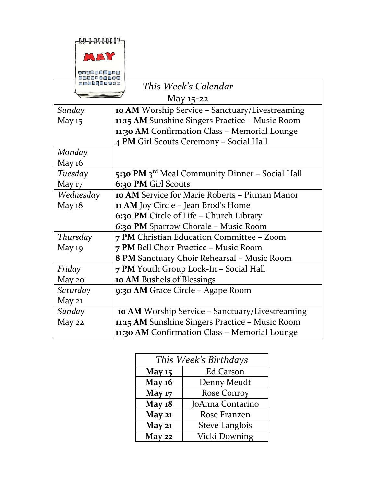| ₲₧₧₧₧₧             |                                                             |  |
|--------------------|-------------------------------------------------------------|--|
| MAY                |                                                             |  |
|                    |                                                             |  |
| 高等車倒向車車圈           |                                                             |  |
| <b>GBGS6888988</b> | This Week's Calendar                                        |  |
| May 15-22          |                                                             |  |
| Sunday             | 10 AM Worship Service - Sanctuary/Livestreaming             |  |
| May 15             | 11:15 AM Sunshine Singers Practice - Music Room             |  |
|                    | 11:30 AM Confirmation Class - Memorial Lounge               |  |
|                    | 4 PM Girl Scouts Ceremony - Social Hall                     |  |
| Monday             |                                                             |  |
| <b>May 16</b>      |                                                             |  |
| Tuesday            | 5:30 PM 3 <sup>rd</sup> Meal Community Dinner - Social Hall |  |
| <b>May 17</b>      | 6:30 PM Girl Scouts                                         |  |
| Wednesday          | 10 AM Service for Marie Roberts - Pitman Manor              |  |
| May $18$           | <b>11 AM</b> Joy Circle - Jean Brod's Home                  |  |
|                    | 6:30 PM Circle of Life - Church Library                     |  |
|                    | 6:30 PM Sparrow Chorale - Music Room                        |  |
| Thursday           | 7 PM Christian Education Committee - Zoom                   |  |
| May <sub>19</sub>  | 7 PM Bell Choir Practice - Music Room                       |  |
|                    | 8 PM Sanctuary Choir Rehearsal - Music Room                 |  |
| Friday             | 7 PM Youth Group Lock-In - Social Hall                      |  |
| May 20             | <b>10 AM Bushels of Blessings</b>                           |  |
| Saturday           | 9:30 AM Grace Circle - Agape Room                           |  |
| May 21             |                                                             |  |
| Sunday             | 10 AM Worship Service - Sanctuary/Livestreaming             |  |
| May 22             | 11:15 AM Sunshine Singers Practice - Music Room             |  |
|                    | 11:30 AM Confirmation Class - Memorial Lounge               |  |

| This Week's Birthdays |                       |  |
|-----------------------|-----------------------|--|
| <b>May 15</b>         | <b>Ed Carson</b>      |  |
| <b>May 16</b>         | Denny Meudt           |  |
| <b>May 17</b>         | Rose Conroy           |  |
| <b>May 18</b>         | JoAnna Contarino      |  |
| <b>May 21</b>         | Rose Franzen          |  |
| <b>May 21</b>         | <b>Steve Langlois</b> |  |
| May 22                | Vicki Downing         |  |